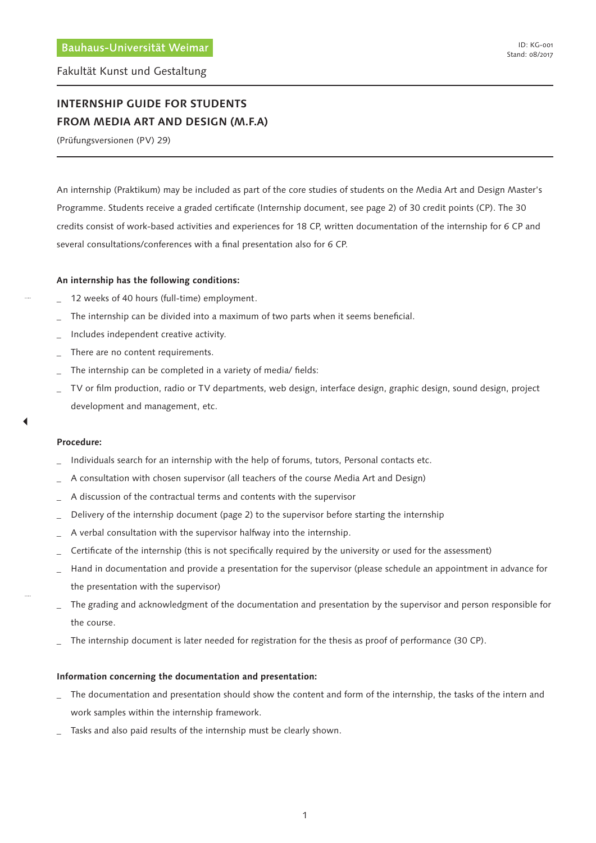Fakultät Kunst und Gestaltung

# **INTERNSHIP GUIDE FOR STUDENTS FROM MEDIA ART AND DESIGN (M.F.A)**

(Prüfungsversionen (PV) 29)

An internship (Praktikum) may be included as part of the core studies of students on the Media Art and Design Master's Programme. Students receive a graded certificate (Internship document, see page 2) of 30 credit points (CP). The 30 credits consist of work-based activities and experiences for 18 CP, written documentation of the internship for 6 CP and several consultations/conferences with a final presentation also for 6 CP.

### **An internship has the following conditions:**

- 12 weeks of 40 hours (full-time) employment.
- The internship can be divided into a maximum of two parts when it seems beneficial.
- Includes independent creative activity.
- There are no content requirements.
- The internship can be completed in a variety of media/ fields:
- TV or film production, radio or TV departments, web design, interface design, graphic design, sound design, project development and management, etc.

#### **Procedure:**

- Individuals search for an internship with the help of forums, tutors, Personal contacts etc.
- A consultation with chosen supervisor (all teachers of the course Media Art and Design)
- A discussion of the contractual terms and contents with the supervisor
- Delivery of the internship document (page 2) to the supervisor before starting the internship
- A verbal consultation with the supervisor halfway into the internship.
- Certificate of the internship (this is not specifically required by the university or used for the assessment)
- \_ Hand in documentation and provide a presentation for the supervisor (please schedule an appointment in advance for the presentation with the supervisor)
- The grading and acknowledgment of the documentation and presentation by the supervisor and person responsible for the course.
- The internship document is later needed for registration for the thesis as proof of performance (30 CP).

#### **Information concerning the documentation and presentation:**

- The documentation and presentation should show the content and form of the internship, the tasks of the intern and work samples within the internship framework.
- Tasks and also paid results of the internship must be clearly shown.